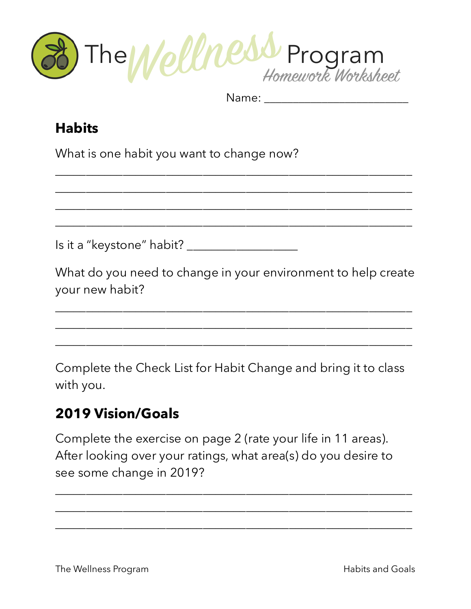

Name:

\_\_\_\_\_\_\_\_\_\_\_\_\_\_\_\_\_\_\_\_\_\_\_\_\_\_\_\_\_\_\_\_\_\_\_\_\_\_\_\_\_\_\_\_\_\_\_\_\_\_\_\_\_\_\_\_\_\_

\_\_\_\_\_\_\_\_\_\_\_\_\_\_\_\_\_\_\_\_\_\_\_\_\_\_\_\_\_\_\_\_\_\_\_\_\_\_\_\_\_\_\_\_\_\_\_\_\_\_\_\_\_\_\_\_\_\_

\_\_\_\_\_\_\_\_\_\_\_\_\_\_\_\_\_\_\_\_\_\_\_\_\_\_\_\_\_\_\_\_\_\_\_\_\_\_\_\_\_\_\_\_\_\_\_\_\_\_\_\_\_\_\_\_\_\_

\_\_\_\_\_\_\_\_\_\_\_\_\_\_\_\_\_\_\_\_\_\_\_\_\_\_\_\_\_\_\_\_\_\_\_\_\_\_\_\_\_\_\_\_\_\_\_\_\_\_\_\_\_\_\_\_\_\_

## **Habits**

What is one habit you want to change now?

Is it a "keystone" habit? \_\_\_\_\_\_\_\_\_\_\_\_\_\_\_\_\_\_

What do you need to change in your environment to help create your new habit?

\_\_\_\_\_\_\_\_\_\_\_\_\_\_\_\_\_\_\_\_\_\_\_\_\_\_\_\_\_\_\_\_\_\_\_\_\_\_\_\_\_\_\_\_\_\_\_\_\_\_\_\_\_\_\_\_\_\_

\_\_\_\_\_\_\_\_\_\_\_\_\_\_\_\_\_\_\_\_\_\_\_\_\_\_\_\_\_\_\_\_\_\_\_\_\_\_\_\_\_\_\_\_\_\_\_\_\_\_\_\_\_\_\_\_\_\_

\_\_\_\_\_\_\_\_\_\_\_\_\_\_\_\_\_\_\_\_\_\_\_\_\_\_\_\_\_\_\_\_\_\_\_\_\_\_\_\_\_\_\_\_\_\_\_\_\_\_\_\_\_\_\_\_\_\_

Complete the Check List for Habit Change and bring it to class with you.

## **2019 Vision/Goals**

Complete the exercise on page 2 (rate your life in 11 areas). After looking over your ratings, what area(s) do you desire to see some change in 2019?

\_\_\_\_\_\_\_\_\_\_\_\_\_\_\_\_\_\_\_\_\_\_\_\_\_\_\_\_\_\_\_\_\_\_\_\_\_\_\_\_\_\_\_\_\_\_\_\_\_\_\_\_\_\_\_\_\_\_

\_\_\_\_\_\_\_\_\_\_\_\_\_\_\_\_\_\_\_\_\_\_\_\_\_\_\_\_\_\_\_\_\_\_\_\_\_\_\_\_\_\_\_\_\_\_\_\_\_\_\_\_\_\_\_\_\_\_

\_\_\_\_\_\_\_\_\_\_\_\_\_\_\_\_\_\_\_\_\_\_\_\_\_\_\_\_\_\_\_\_\_\_\_\_\_\_\_\_\_\_\_\_\_\_\_\_\_\_\_\_\_\_\_\_\_\_